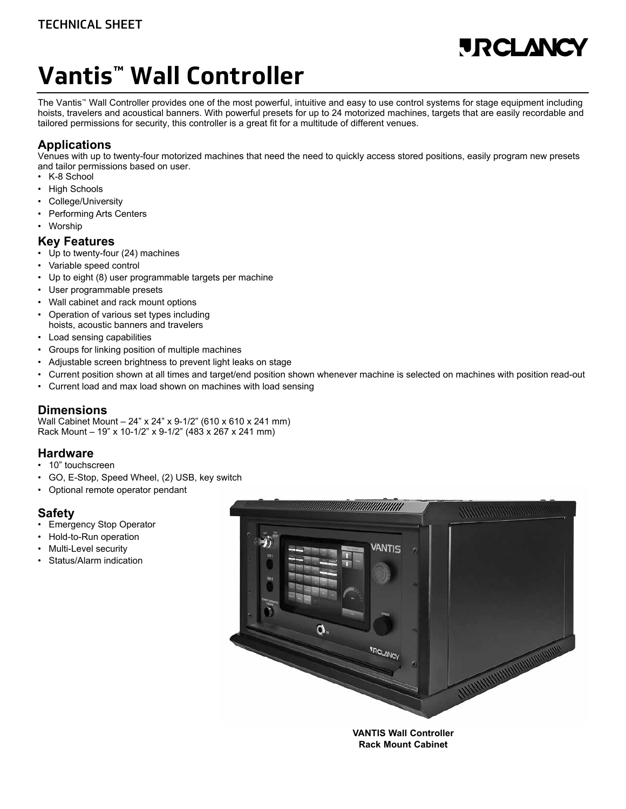# **URCLANO**

# **[Vantis™ Wall Controller](http://www.jrclancy.com/vantis-pendant-controller.php?utm_source=pdf&utm_medium=pdf&utm_campaign=TechnicalSheet)**

The Vantis™ Wall Controller provides one of the most powerful, intuitive and easy to use control systems for stage equipment including hoists, travelers and acoustical banners. With powerful presets for up to 24 motorized machines, targets that are easily recordable and tailored permissions for security, this controller is a great fit for a multitude of different venues.

# **Applications**

Venues with up to twenty-four motorized machines that need the need to quickly access stored positions, easily program new presets and tailor permissions based on user.

- K-8 School
- **High Schools**
- College/University
- Performing Arts Centers
- Worship

#### **Key Features**

- Up to twenty-four (24) machines
- Variable speed control
- Up to eight (8) user programmable targets per machine
- User programmable presets
- Wall cabinet and rack mount options
- Operation of various set types including hoists, acoustic banners and travelers
- Load sensing capabilities
- Groups for linking position of multiple machines
- Adjustable screen brightness to prevent light leaks on stage
- Current position shown at all times and target/end position shown whenever machine is selected on machines with position read-out
- Current load and max load shown on machines with load sensing

### **Dimensions**

Wall Cabinet Mount – 24" x 24" x 9-1/2" (610 x 610 x 241 mm) Rack Mount – 19" x 10-1/2" x 9-1/2" (483 x 267 x 241 mm)

#### **Hardware**

- 10" touchscreen
- GO, E-Stop, Speed Wheel, (2) USB, key switch
- Optional remote operator pendant

### **Safety**

- **Emergency Stop Operator**
- Hold-to-Run operation
- Multi-Level security
- Status/Alarm indication



**Rack Mount Cabinet**